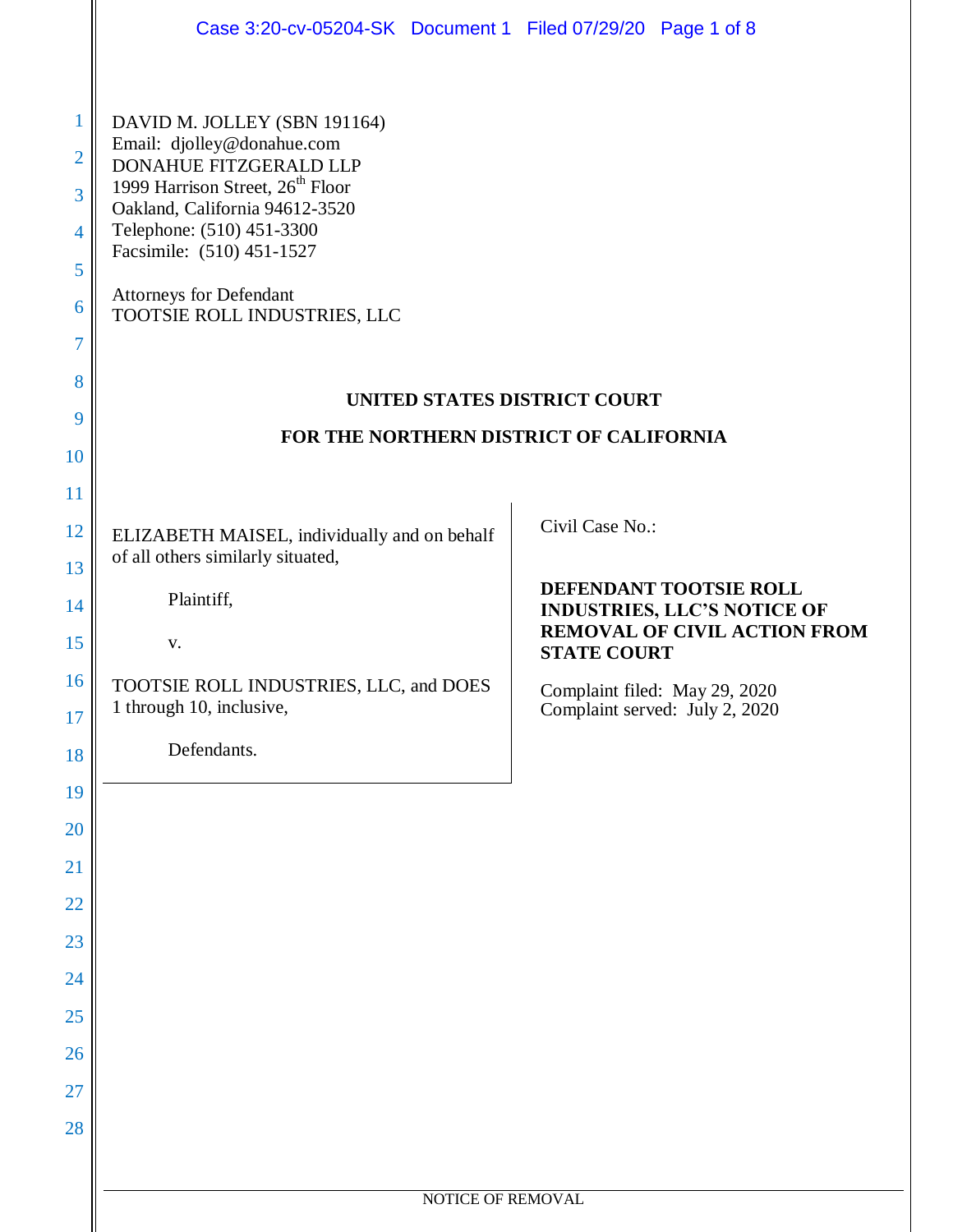|                                                                                | Case 3:20-cv-05204-SK Document 1 Filed 07/29/20 Page 1 of 8                                                                                                                                                                                                                                                                        |                                                                 |
|--------------------------------------------------------------------------------|------------------------------------------------------------------------------------------------------------------------------------------------------------------------------------------------------------------------------------------------------------------------------------------------------------------------------------|-----------------------------------------------------------------|
| $\mathbf{1}$<br>$\overline{2}$<br>3<br>4<br>5<br>6<br>$\overline{7}$<br>8<br>9 | DAVID M. JOLLEY (SBN 191164)<br>Email: djolley@donahue.com<br>DONAHUE FITZGERALD LLP<br>1999 Harrison Street, 26 <sup>th</sup> Floor<br>Oakland, California 94612-3520<br>Telephone: (510) 451-3300<br>Facsimile: (510) 451-1527<br><b>Attorneys for Defendant</b><br>TOOTSIE ROLL INDUSTRIES, LLC<br>UNITED STATES DISTRICT COURT |                                                                 |
| 10                                                                             | FOR THE NORTHERN DISTRICT OF CALIFORNIA                                                                                                                                                                                                                                                                                            |                                                                 |
| 11                                                                             |                                                                                                                                                                                                                                                                                                                                    |                                                                 |
| 12<br>13                                                                       | ELIZABETH MAISEL, individually and on behalf<br>of all others similarly situated,                                                                                                                                                                                                                                                  | Civil Case No.:                                                 |
| 14                                                                             | Plaintiff,                                                                                                                                                                                                                                                                                                                         | DEFENDANT TOOTSIE ROLL<br><b>INDUSTRIES, LLC'S NOTICE OF</b>    |
| 15                                                                             | $\mathbf{V}$ .                                                                                                                                                                                                                                                                                                                     | <b>REMOVAL OF CIVIL ACTION FROM</b><br><b>STATE COURT</b>       |
| 16<br>17                                                                       | TOOTSIE ROLL INDUSTRIES, LLC, and DOES<br>1 through 10, inclusive,                                                                                                                                                                                                                                                                 | Complaint filed: May 29, 2020<br>Complaint served: July 2, 2020 |
| 18                                                                             | Defendants.                                                                                                                                                                                                                                                                                                                        |                                                                 |
| 19                                                                             |                                                                                                                                                                                                                                                                                                                                    |                                                                 |
| 20                                                                             |                                                                                                                                                                                                                                                                                                                                    |                                                                 |
| 21                                                                             |                                                                                                                                                                                                                                                                                                                                    |                                                                 |
| 22                                                                             |                                                                                                                                                                                                                                                                                                                                    |                                                                 |
| 23<br>24                                                                       |                                                                                                                                                                                                                                                                                                                                    |                                                                 |
| 25                                                                             |                                                                                                                                                                                                                                                                                                                                    |                                                                 |
| 26                                                                             |                                                                                                                                                                                                                                                                                                                                    |                                                                 |
| 27                                                                             |                                                                                                                                                                                                                                                                                                                                    |                                                                 |
| 28                                                                             |                                                                                                                                                                                                                                                                                                                                    |                                                                 |
|                                                                                |                                                                                                                                                                                                                                                                                                                                    |                                                                 |
|                                                                                | NOTICE OF REMOVAL                                                                                                                                                                                                                                                                                                                  |                                                                 |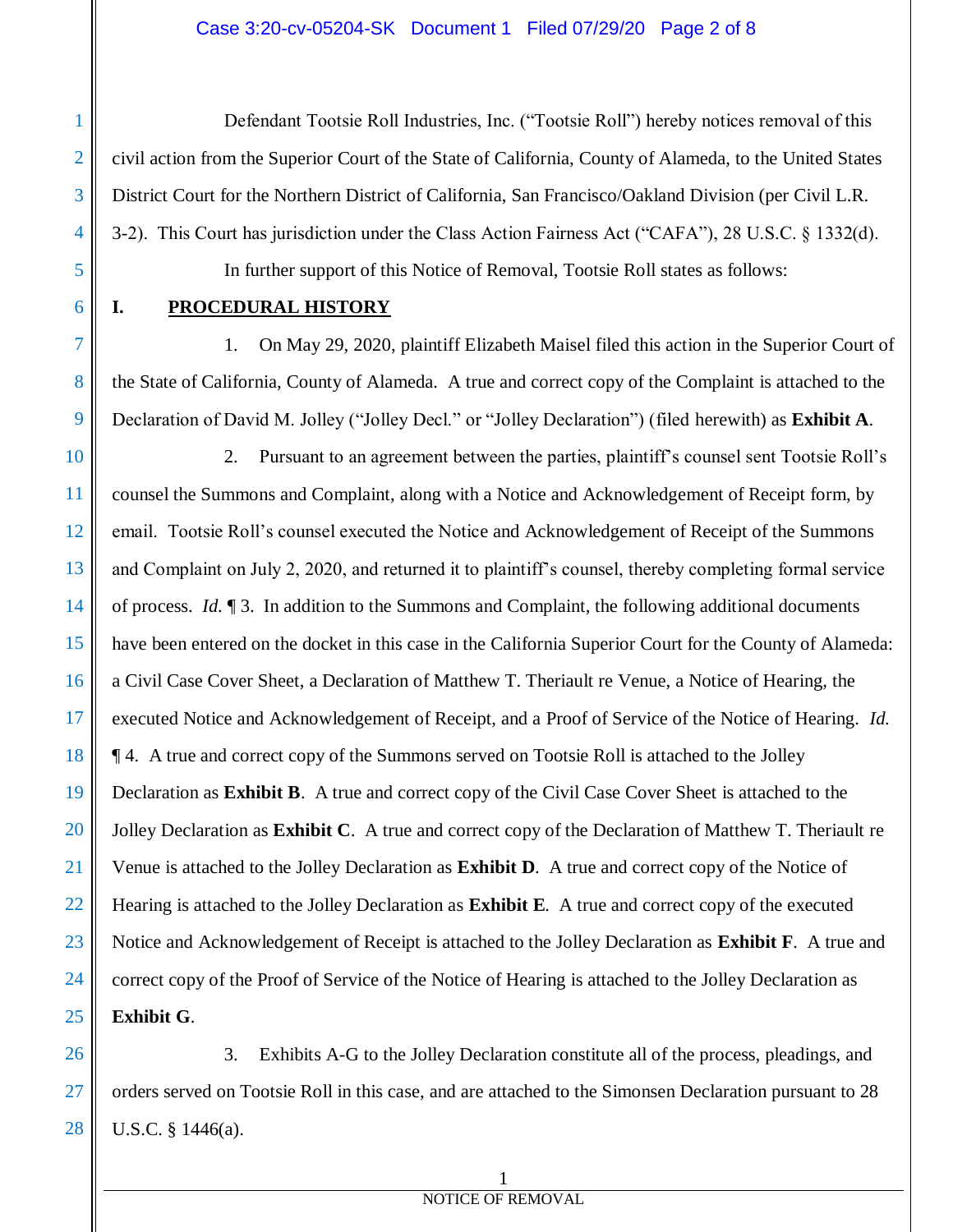### Case 3:20-cv-05204-SK Document 1 Filed 07/29/20 Page 2 of 8

Defendant Tootsie Roll Industries, Inc. ("Tootsie Roll") hereby notices removal of this civil action from the Superior Court of the State of California, County of Alameda, to the United States District Court for the Northern District of California, San Francisco/Oakland Division (per Civil L.R. 3-2). This Court has jurisdiction under the Class Action Fairness Act ("CAFA"), 28 U.S.C. § 1332(d). In further support of this Notice of Removal, Tootsie Roll states as follows:

5 6

7

8

9

1

2

3

4

# **I. PROCEDURAL HISTORY**

1. On May 29, 2020, plaintiff Elizabeth Maisel filed this action in the Superior Court of the State of California, County of Alameda. A true and correct copy of the Complaint is attached to the Declaration of David M. Jolley ("Jolley Decl." or "Jolley Declaration") (filed herewith) as **Exhibit A**.

10 11 12 13 14 15 16 17 18 19 20 21 22 23 24 25 2. Pursuant to an agreement between the parties, plaintiff's counsel sent Tootsie Roll's counsel the Summons and Complaint, along with a Notice and Acknowledgement of Receipt form, by email. Tootsie Roll's counsel executed the Notice and Acknowledgement of Receipt of the Summons and Complaint on July 2, 2020, and returned it to plaintiff's counsel, thereby completing formal service of process. *Id.* ¶ 3. In addition to the Summons and Complaint, the following additional documents have been entered on the docket in this case in the California Superior Court for the County of Alameda: a Civil Case Cover Sheet, a Declaration of Matthew T. Theriault re Venue, a Notice of Hearing, the executed Notice and Acknowledgement of Receipt, and a Proof of Service of the Notice of Hearing. *Id.* ¶ 4. A true and correct copy of the Summons served on Tootsie Roll is attached to the Jolley Declaration as **Exhibit B**. A true and correct copy of the Civil Case Cover Sheet is attached to the Jolley Declaration as **Exhibit C**. A true and correct copy of the Declaration of Matthew T. Theriault re Venue is attached to the Jolley Declaration as **Exhibit D**. A true and correct copy of the Notice of Hearing is attached to the Jolley Declaration as **Exhibit E**. A true and correct copy of the executed Notice and Acknowledgement of Receipt is attached to the Jolley Declaration as **Exhibit F**. A true and correct copy of the Proof of Service of the Notice of Hearing is attached to the Jolley Declaration as **Exhibit G**.

26 27 28 3. Exhibits A-G to the Jolley Declaration constitute all of the process, pleadings, and orders served on Tootsie Roll in this case, and are attached to the Simonsen Declaration pursuant to 28 U.S.C. § 1446(a).

### 1 NOTICE OF REMOVAL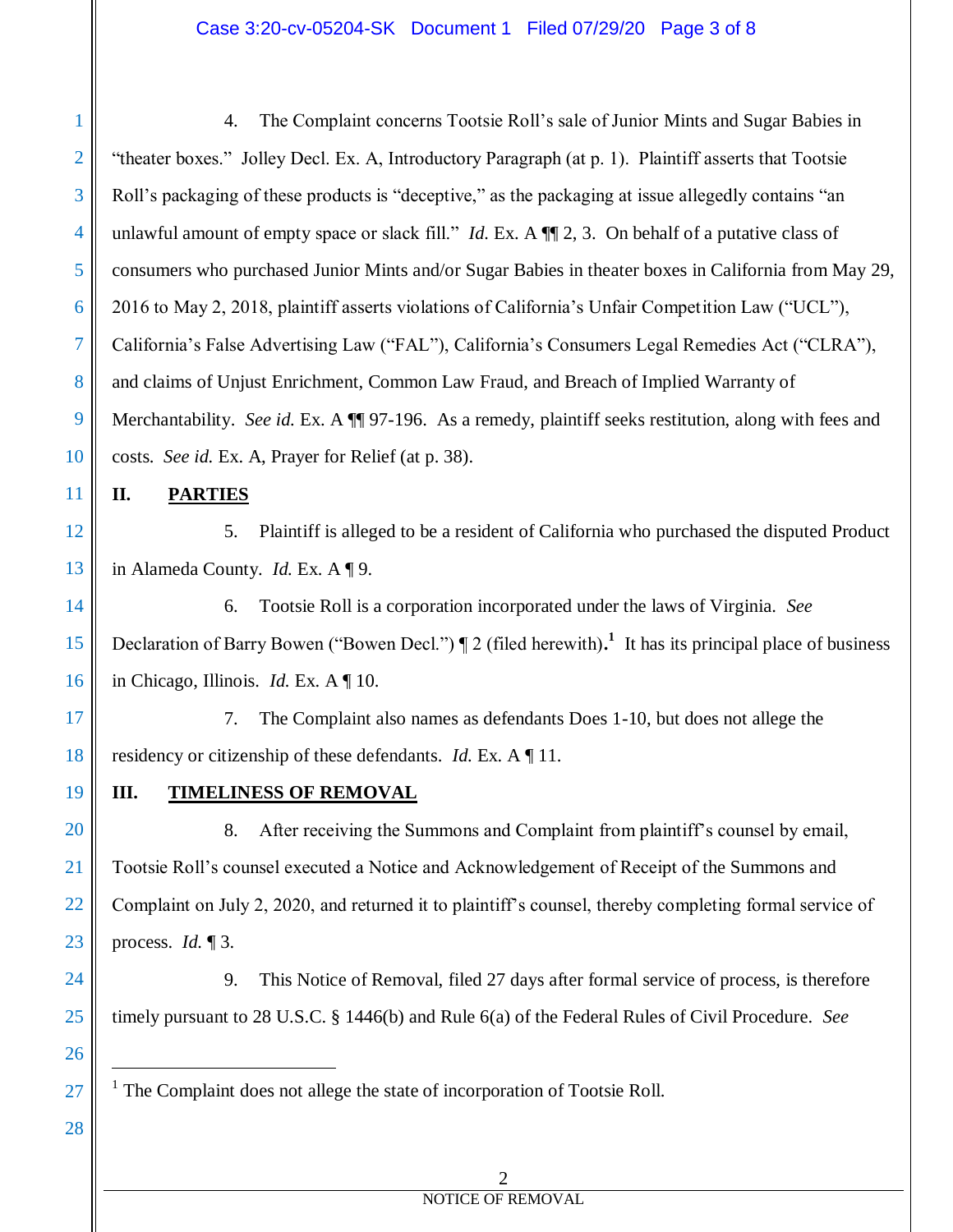### Case 3:20-cv-05204-SK Document 1 Filed 07/29/20 Page 3 of 8

1 2 3 4 5 6 7 8 9 10 4. The Complaint concerns Tootsie Roll's sale of Junior Mints and Sugar Babies in "theater boxes." Jolley Decl. Ex. A, Introductory Paragraph (at p. 1). Plaintiff asserts that Tootsie Roll's packaging of these products is "deceptive," as the packaging at issue allegedly contains "an unlawful amount of empty space or slack fill." *Id.* Ex. A  $\P$  2, 3. On behalf of a putative class of consumers who purchased Junior Mints and/or Sugar Babies in theater boxes in California from May 29, 2016 to May 2, 2018, plaintiff asserts violations of California's Unfair Competition Law ("UCL"), California's False Advertising Law ("FAL"), California's Consumers Legal Remedies Act ("CLRA"), and claims of Unjust Enrichment, Common Law Fraud, and Breach of Implied Warranty of Merchantability. *See id.* Ex. A  $\P$  97-196. As a remedy, plaintiff seeks restitution, along with fees and costs. *See id.* Ex. A, Prayer for Relief (at p. 38).

**II. PARTIES**

12 13 5. Plaintiff is alleged to be a resident of California who purchased the disputed Product in Alameda County. *Id.* Ex. A ¶ 9.

14 15 16 6. Tootsie Roll is a corporation incorporated under the laws of Virginia. *See* Declaration of Barry Bowen ("Bowen Decl.")  $\P$  2 (filed herewith).<sup>1</sup> It has its principal place of business in Chicago, Illinois. *Id.* Ex. A ¶ 10.

17 18 7. The Complaint also names as defendants Does 1-10, but does not allege the residency or citizenship of these defendants. *Id.* Ex. A ¶ 11.

19

20

21

22

23

24

25

26

 $\overline{a}$ 

27

28

11

## **III. TIMELINESS OF REMOVAL**

8. After receiving the Summons and Complaint from plaintiff's counsel by email, Tootsie Roll's counsel executed a Notice and Acknowledgement of Receipt of the Summons and Complaint on July 2, 2020, and returned it to plaintiff's counsel, thereby completing formal service of process. *Id.* ¶ 3.

9. This Notice of Removal, filed 27 days after formal service of process, is therefore timely pursuant to 28 U.S.C. § 1446(b) and Rule 6(a) of the Federal Rules of Civil Procedure. *See* 

<sup>1</sup> The Complaint does not allege the state of incorporation of Tootsie Roll.

2

# NOTICE OF REMOVAL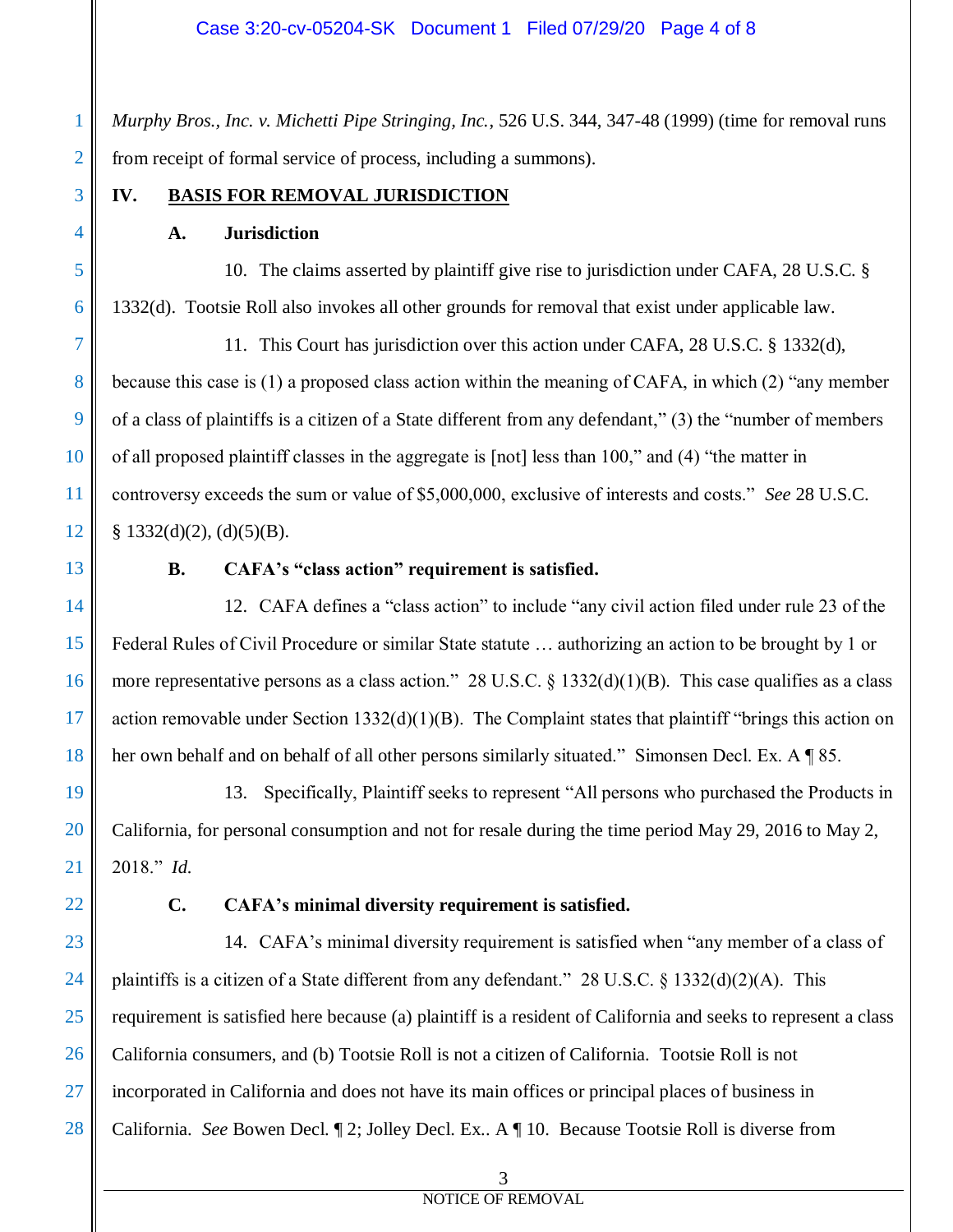*Murphy Bros., Inc. v. Michetti Pipe Stringing, Inc.*, 526 U.S. 344, 347-48 (1999) (time for removal runs from receipt of formal service of process, including a summons).

1

2

### **IV. BASIS FOR REMOVAL JURISDICTION**

### **A. Jurisdiction**

10. The claims asserted by plaintiff give rise to jurisdiction under CAFA, 28 U.S.C. § 1332(d). Tootsie Roll also invokes all other grounds for removal that exist under applicable law.

11. This Court has jurisdiction over this action under CAFA, 28 U.S.C. § 1332(d), because this case is (1) a proposed class action within the meaning of CAFA, in which (2) "any member of a class of plaintiffs is a citizen of a State different from any defendant," (3) the "number of members of all proposed plaintiff classes in the aggregate is [not] less than 100," and (4) "the matter in controversy exceeds the sum or value of \$5,000,000, exclusive of interests and costs." *See* 28 U.S.C.  $§$  1332(d)(2), (d)(5)(B).

13

12

## **B. CAFA's "class action" requirement is satisfied.**

14 15 16 17 18 12. CAFA defines a "class action" to include "any civil action filed under rule 23 of the Federal Rules of Civil Procedure or similar State statute … authorizing an action to be brought by 1 or more representative persons as a class action." 28 U.S.C.  $\S$  1332(d)(1)(B). This case qualifies as a class action removable under Section 1332(d)(1)(B). The Complaint states that plaintiff "brings this action on her own behalf and on behalf of all other persons similarly situated." Simonsen Decl. Ex. A  $\sqrt{\ }$  85.

19 20 21 13. Specifically, Plaintiff seeks to represent "All persons who purchased the Products in California, for personal consumption and not for resale during the time period May 29, 2016 to May 2, 2018." *Id.*

22

## **C. CAFA's minimal diversity requirement is satisfied.**

23 24 25 26 27 28 14. CAFA's minimal diversity requirement is satisfied when "any member of a class of plaintiffs is a citizen of a State different from any defendant." 28 U.S.C. § 1332(d)(2)(A). This requirement is satisfied here because (a) plaintiff is a resident of California and seeks to represent a class California consumers, and (b) Tootsie Roll is not a citizen of California. Tootsie Roll is not incorporated in California and does not have its main offices or principal places of business in California. *See* Bowen Decl. ¶ 2; Jolley Decl. Ex.. A ¶ 10. Because Tootsie Roll is diverse from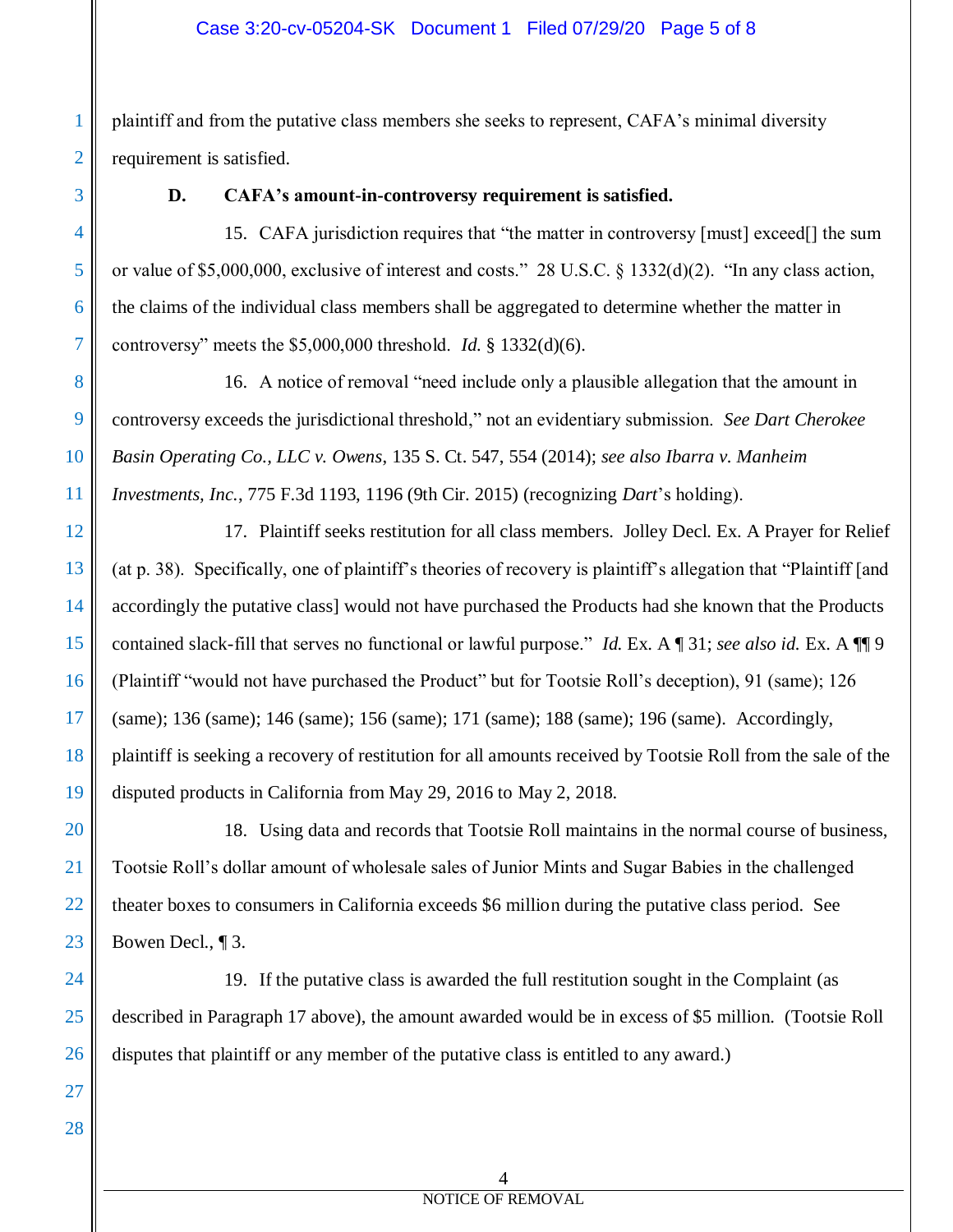plaintiff and from the putative class members she seeks to represent, CAFA's minimal diversity requirement is satisfied.

1

2

3

4

5

6

7

## **D. CAFA's amount-in-controversy requirement is satisfied.**

15. CAFA jurisdiction requires that "the matter in controversy [must] exceed[] the sum or value of \$5,000,000, exclusive of interest and costs." 28 U.S.C. § 1332(d)(2). "In any class action, the claims of the individual class members shall be aggregated to determine whether the matter in controversy" meets the \$5,000,000 threshold. *Id.* § 1332(d)(6).

8 9 10 11 16. A notice of removal "need include only a plausible allegation that the amount in controversy exceeds the jurisdictional threshold," not an evidentiary submission. *See Dart Cherokee Basin Operating Co., LLC v. Owens*, 135 S. Ct. 547, 554 (2014); *see also Ibarra v. Manheim Investments, Inc.*, 775 F.3d 1193, 1196 (9th Cir. 2015) (recognizing *Dart*'s holding).

12 13 14 15 16 17 18 19 17. Plaintiff seeks restitution for all class members. Jolley Decl. Ex. A Prayer for Relief (at p. 38). Specifically, one of plaintiff's theories of recovery is plaintiff's allegation that "Plaintiff [and accordingly the putative class] would not have purchased the Products had she known that the Products contained slack-fill that serves no functional or lawful purpose." *Id.* Ex. A ¶ 31; *see also id.* Ex. A ¶¶ 9 (Plaintiff "would not have purchased the Product" but for Tootsie Roll's deception), 91 (same); 126 (same); 136 (same); 146 (same); 156 (same); 171 (same); 188 (same); 196 (same). Accordingly, plaintiff is seeking a recovery of restitution for all amounts received by Tootsie Roll from the sale of the disputed products in California from May 29, 2016 to May 2, 2018.

20 21 22 23 18. Using data and records that Tootsie Roll maintains in the normal course of business, Tootsie Roll's dollar amount of wholesale sales of Junior Mints and Sugar Babies in the challenged theater boxes to consumers in California exceeds \$6 million during the putative class period. See Bowen Decl., ¶ 3.

24 25 26 19. If the putative class is awarded the full restitution sought in the Complaint (as described in Paragraph 17 above), the amount awarded would be in excess of \$5 million. (Tootsie Roll disputes that plaintiff or any member of the putative class is entitled to any award.)

27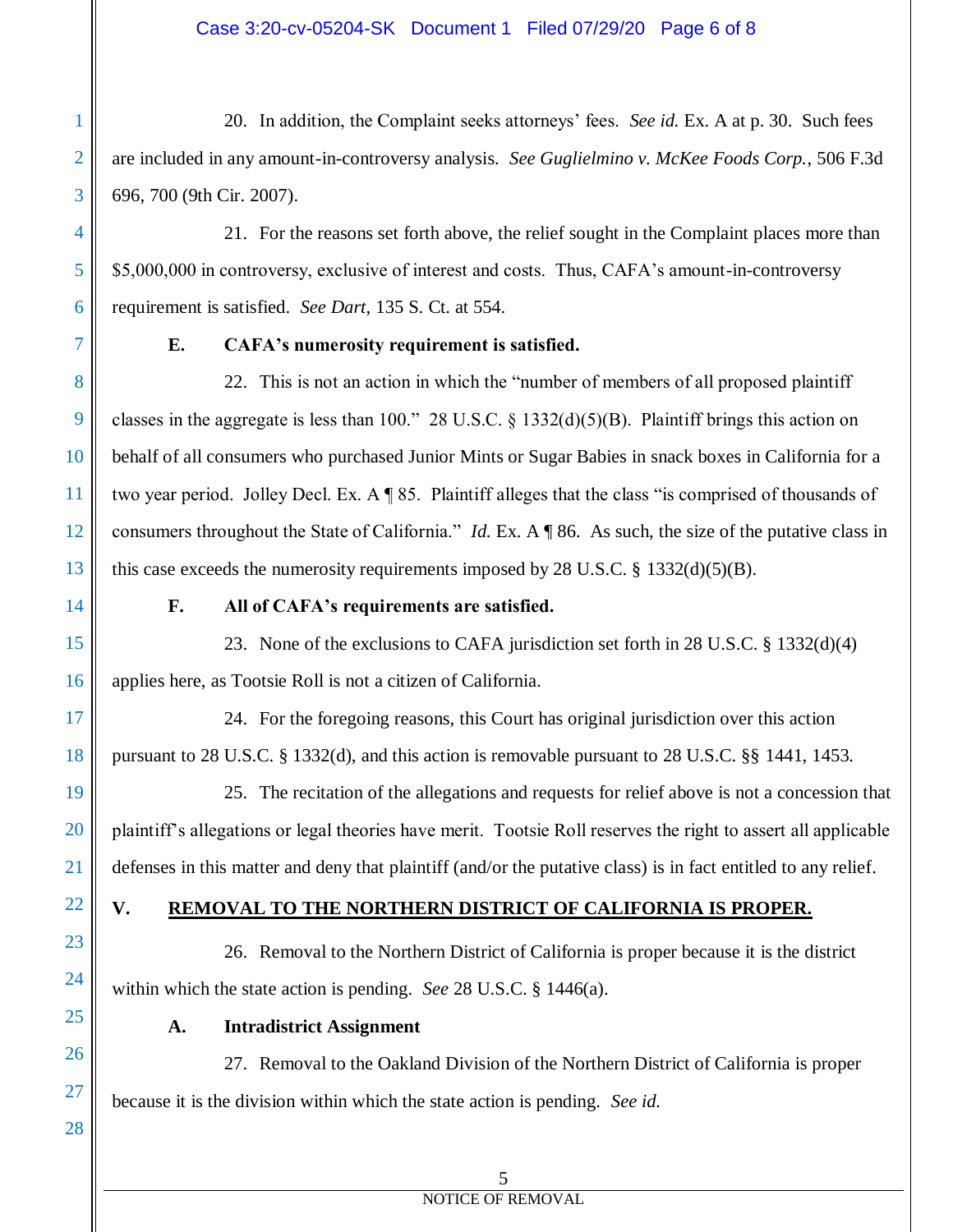20. In addition, the Complaint seeks attorneys' fees. *See id.* Ex. A at p. 30. Such fees are included in any amount-in-controversy analysis. *See Guglielmino v. McKee Foods Corp.*, 506 F.3d 696, 700 (9th Cir. 2007).

21. For the reasons set forth above, the relief sought in the Complaint places more than \$5,000,000 in controversy, exclusive of interest and costs. Thus, CAFA's amount-in-controversy requirement is satisfied. *See Dart*, 135 S. Ct. at 554.

7

8

9

10

11

12

13

14

15

16

18

19

20

21

22

23

24

25

26

27

28

1

2

3

4

5

6

# **E. CAFA's numerosity requirement is satisfied.**

22. This is not an action in which the "number of members of all proposed plaintiff classes in the aggregate is less than 100." 28 U.S.C.  $\S$  1332(d)(5)(B). Plaintiff brings this action on behalf of all consumers who purchased Junior Mints or Sugar Babies in snack boxes in California for a two year period. Jolley Decl. Ex. A ¶ 85. Plaintiff alleges that the class "is comprised of thousands of consumers throughout the State of California." *Id.* Ex. A ¶ 86. As such, the size of the putative class in this case exceeds the numerosity requirements imposed by  $28$  U.S.C. § 1332(d)(5)(B).

# **F. All of CAFA's requirements are satisfied.**

23. None of the exclusions to CAFA jurisdiction set forth in 28 U.S.C. § 1332(d)(4) applies here, as Tootsie Roll is not a citizen of California.

17

24. For the foregoing reasons, this Court has original jurisdiction over this action pursuant to 28 U.S.C. § 1332(d), and this action is removable pursuant to 28 U.S.C. §§ 1441, 1453.

25. The recitation of the allegations and requests for relief above is not a concession that plaintiff's allegations or legal theories have merit. Tootsie Roll reserves the right to assert all applicable defenses in this matter and deny that plaintiff (and/or the putative class) is in fact entitled to any relief.

# **V. REMOVAL TO THE NORTHERN DISTRICT OF CALIFORNIA IS PROPER.**

26. Removal to the Northern District of California is proper because it is the district within which the state action is pending. *See* 28 U.S.C. § 1446(a).

## **A. Intradistrict Assignment**

27. Removal to the Oakland Division of the Northern District of California is proper because it is the division within which the state action is pending. *See id.*

## NOTICE OF REMOVAL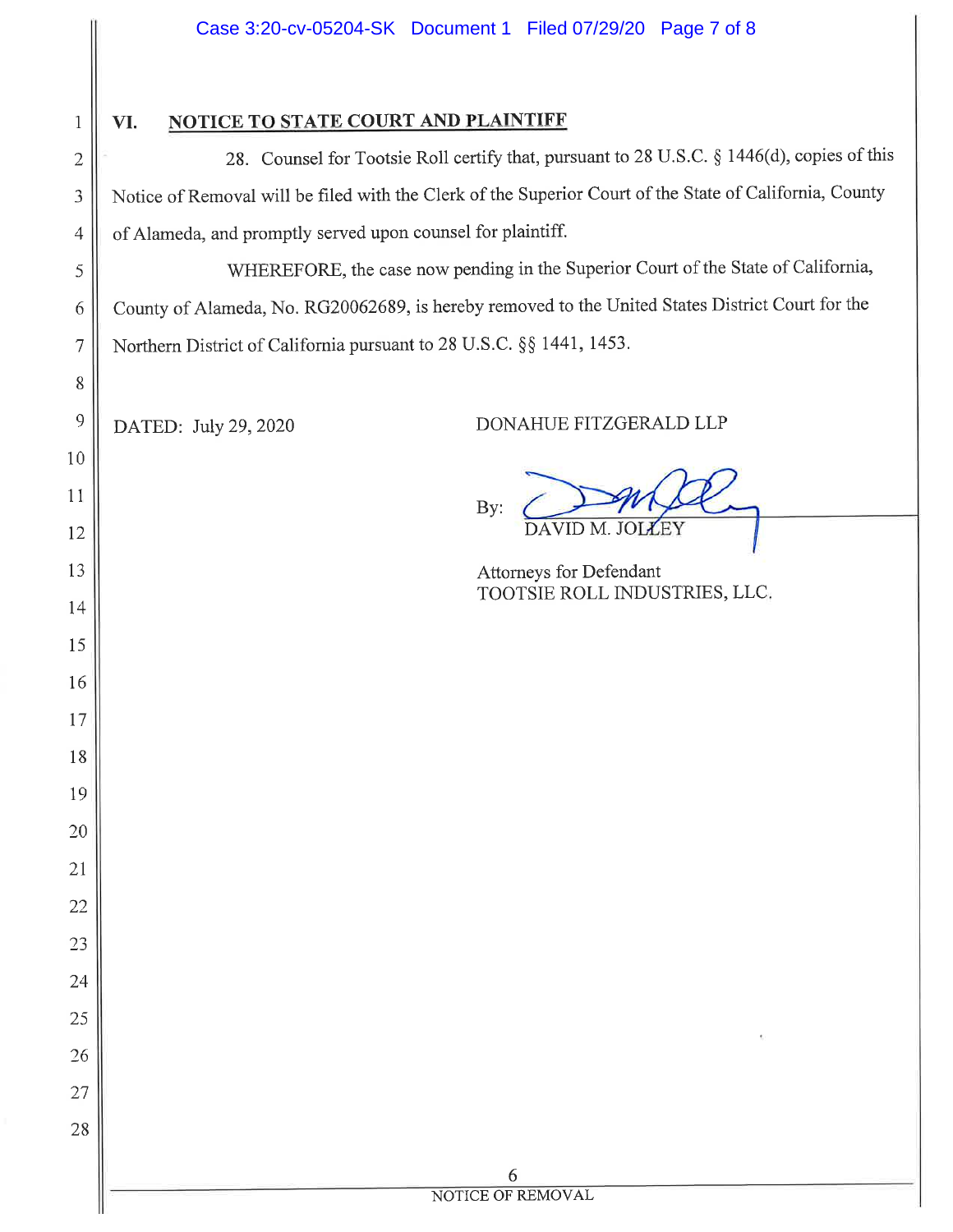|                 | Case 3:20-cv-05204-SK Document 1 Filed 07/29/20 Page 7 of 8                                             |  |
|-----------------|---------------------------------------------------------------------------------------------------------|--|
| $\mathbf{1}$    | <b>NOTICE TO STATE COURT AND PLAINTIFF</b><br>VI.                                                       |  |
| $\overline{2}$  | 28. Counsel for Tootsie Roll certify that, pursuant to 28 U.S.C. § 1446(d), copies of this              |  |
| 3               | Notice of Removal will be filed with the Clerk of the Superior Court of the State of California, County |  |
| $\overline{4}$  | of Alameda, and promptly served upon counsel for plaintiff.                                             |  |
| 5               | WHEREFORE, the case now pending in the Superior Court of the State of California,                       |  |
| 6               | County of Alameda, No. RG20062689, is hereby removed to the United States District Court for the        |  |
| $\overline{7}$  | Northern District of California pursuant to 28 U.S.C. §§ 1441, 1453.                                    |  |
| 8               |                                                                                                         |  |
| 9               | DONAHUE FITZGERALD LLP<br>DATED: July 29, 2020                                                          |  |
| 10              |                                                                                                         |  |
| 11              |                                                                                                         |  |
| $12\,$          | By:<br>DAVID M. JOI<br><b>XEY</b>                                                                       |  |
| 13              | Attorneys for Defendant                                                                                 |  |
| 14              | TOOTSIE ROLL INDUSTRIES, LLC.                                                                           |  |
| 15              |                                                                                                         |  |
| 16              |                                                                                                         |  |
| 17              |                                                                                                         |  |
| 18              |                                                                                                         |  |
| 19              |                                                                                                         |  |
| 20              |                                                                                                         |  |
| $\overline{21}$ |                                                                                                         |  |
| 22              |                                                                                                         |  |
| 23              |                                                                                                         |  |
| 24              |                                                                                                         |  |
| 25              |                                                                                                         |  |
| 26              |                                                                                                         |  |
| 27              |                                                                                                         |  |
| 28              |                                                                                                         |  |
|                 | 6                                                                                                       |  |
|                 | NOTICE OF REMOVAL                                                                                       |  |